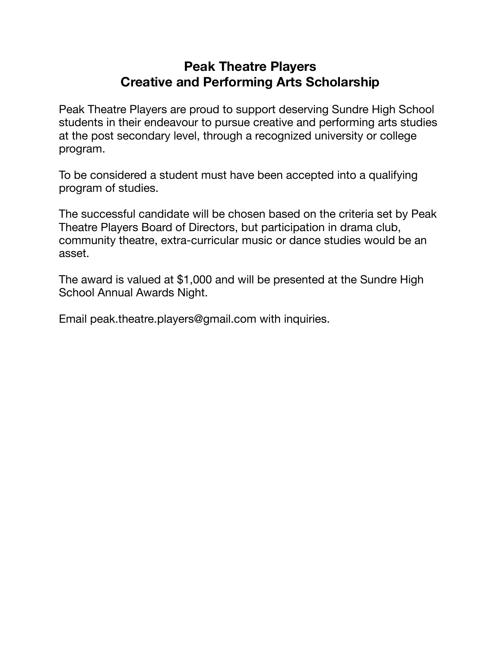## **Peak Theatre Players Creative and Performing Arts Scholarship**

Peak Theatre Players are proud to support deserving Sundre High School students in their endeavour to pursue creative and performing arts studies at the post secondary level, through a recognized university or college program.

To be considered a student must have been accepted into a qualifying program of studies.

The successful candidate will be chosen based on the criteria set by Peak Theatre Players Board of Directors, but participation in drama club, community theatre, extra-curricular music or dance studies would be an asset.

The award is valued at \$1,000 and will be presented at the Sundre High School Annual Awards Night.

Email peak.theatre.players@gmail.com with inquiries.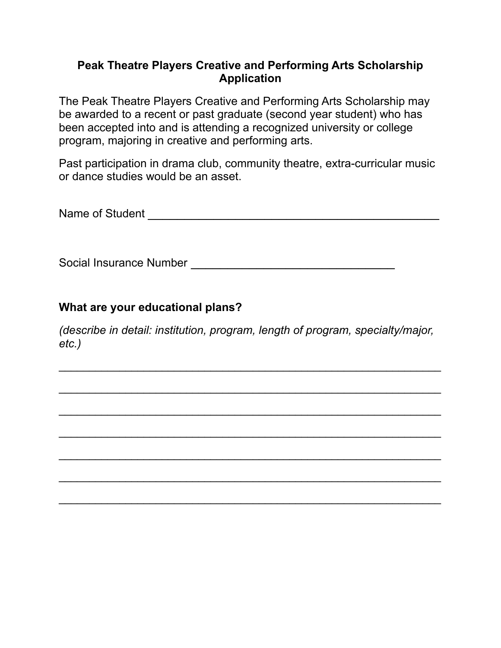## **Peak Theatre Players Creative and Performing Arts Scholarship Application**

The Peak Theatre Players Creative and Performing Arts Scholarship may be awarded to a recent or past graduate (second year student) who has been accepted into and is attending a recognized university or college program, majoring in creative and performing arts.

Past participation in drama club, community theatre, extra-curricular music or dance studies would be an asset.

Name of Student \_\_\_\_\_\_\_\_\_\_\_\_\_\_\_\_\_\_\_\_\_\_\_\_\_\_\_\_\_\_\_\_\_\_\_\_\_\_\_\_

Social Insurance Number \_\_\_\_\_\_\_\_\_\_\_\_\_\_\_\_\_\_\_\_\_\_\_\_\_\_\_\_

## **What are your educational plans?**

*(describe in detail: institution, program, length of program, specialty/major, etc.)* 

\_\_\_\_\_\_\_\_\_\_\_\_\_\_\_\_\_\_\_\_\_\_\_\_\_\_\_\_\_\_\_\_\_\_\_\_\_\_\_\_\_\_\_\_\_\_\_\_\_\_\_\_\_\_\_\_\_\_\_\_\_\_\_

\_\_\_\_\_\_\_\_\_\_\_\_\_\_\_\_\_\_\_\_\_\_\_\_\_\_\_\_\_\_\_\_\_\_\_\_\_\_\_\_\_\_\_\_\_\_\_\_\_\_\_\_\_\_\_\_\_\_\_\_\_\_\_

\_\_\_\_\_\_\_\_\_\_\_\_\_\_\_\_\_\_\_\_\_\_\_\_\_\_\_\_\_\_\_\_\_\_\_\_\_\_\_\_\_\_\_\_\_\_\_\_\_\_\_\_\_\_\_\_\_\_\_\_\_\_\_

\_\_\_\_\_\_\_\_\_\_\_\_\_\_\_\_\_\_\_\_\_\_\_\_\_\_\_\_\_\_\_\_\_\_\_\_\_\_\_\_\_\_\_\_\_\_\_\_\_\_\_\_\_\_\_\_\_\_\_\_\_\_\_

\_\_\_\_\_\_\_\_\_\_\_\_\_\_\_\_\_\_\_\_\_\_\_\_\_\_\_\_\_\_\_\_\_\_\_\_\_\_\_\_\_\_\_\_\_\_\_\_\_\_\_\_\_\_\_\_\_\_\_\_\_\_\_

\_\_\_\_\_\_\_\_\_\_\_\_\_\_\_\_\_\_\_\_\_\_\_\_\_\_\_\_\_\_\_\_\_\_\_\_\_\_\_\_\_\_\_\_\_\_\_\_\_\_\_\_\_\_\_\_\_\_\_\_\_\_\_

\_\_\_\_\_\_\_\_\_\_\_\_\_\_\_\_\_\_\_\_\_\_\_\_\_\_\_\_\_\_\_\_\_\_\_\_\_\_\_\_\_\_\_\_\_\_\_\_\_\_\_\_\_\_\_\_\_\_\_\_\_\_\_